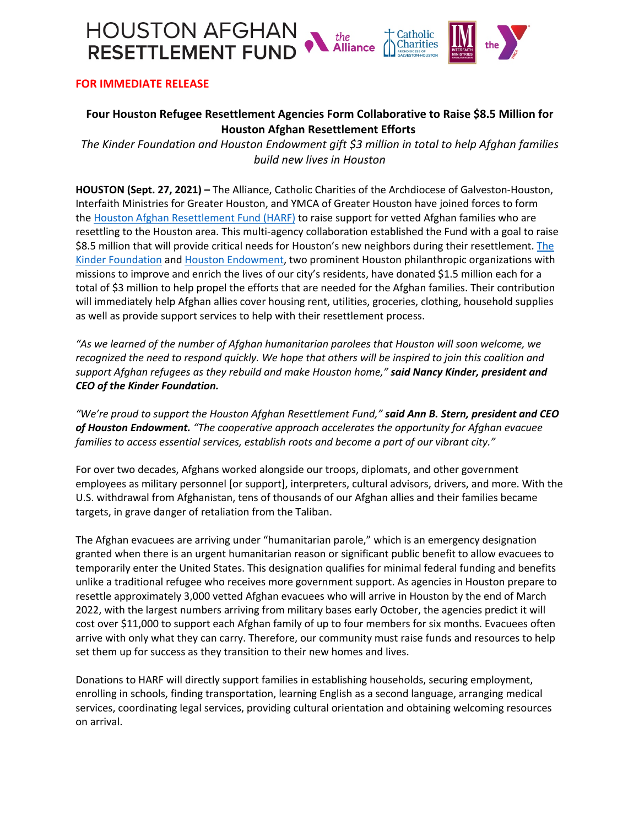

## **FOR IMMEDIATE RELEASE**

## **Four Houston Refugee Resettlement Agencies Form Collaborative to Raise \$8.5 Million for Houston Afghan Resettlement Efforts**

*The Kinder Foundation and Houston Endowment gift \$3 million in total to help Afghan families build new lives in Houston*

**HOUSTON (Sept. 27, 2021) –** The Alliance, Catholic Charities of the Archdiocese of Galveston-Houston, Interfaith Ministries for Greater Houston, and YMCA of Greater Houston have joined forces to form the Houston Afghan Resettlement Fund (HARF) to raise support for vetted Afghan families who are resettling to the Houston area. This multi-agency collaboration established the Fund with a goal to raise \$8.5 million that will provide critical needs for Houston's new neighbors during their resettlement. The Kinder Foundation and Houston Endowment, two prominent Houston philanthropic organizations with missions to improve and enrich the lives of our city's residents, have donated \$1.5 million each for a total of \$3 million to help propel the efforts that are needed for the Afghan families. Their contribution will immediately help Afghan allies cover housing rent, utilities, groceries, clothing, household supplies as well as provide support services to help with their resettlement process.

*"As we learned of the number of Afghan humanitarian parolees that Houston will soon welcome, we recognized the need to respond quickly. We hope that others will be inspired to join this coalition and support Afghan refugees as they rebuild and make Houston home," said Nancy Kinder, president and CEO of the Kinder Foundation.*

*"We're proud to support the Houston Afghan Resettlement Fund," said Ann B. Stern, president and CEO of Houston Endowment. "The cooperative approach accelerates the opportunity for Afghan evacuee families to access essential services, establish roots and become a part of our vibrant city."*

For over two decades, Afghans worked alongside our troops, diplomats, and other government employees as military personnel [or support], interpreters, cultural advisors, drivers, and more. With the U.S. withdrawal from Afghanistan, tens of thousands of our Afghan allies and their families became targets, in grave danger of retaliation from the Taliban.

The Afghan evacuees are arriving under "humanitarian parole," which is an emergency designation granted when there is an urgent humanitarian reason or significant public benefit to allow evacuees to temporarily enter the United States. This designation qualifies for minimal federal funding and benefits unlike a traditional refugee who receives more government support. As agencies in Houston prepare to resettle approximately 3,000 vetted Afghan evacuees who will arrive in Houston by the end of March 2022, with the largest numbers arriving from military bases early October, the agencies predict it will cost over \$11,000 to support each Afghan family of up to four members for six months. Evacuees often arrive with only what they can carry. Therefore, our community must raise funds and resources to help set them up for success as they transition to their new homes and lives.

Donations to HARF will directly support families in establishing households, securing employment, enrolling in schools, finding transportation, learning English as a second language, arranging medical services, coordinating legal services, providing cultural orientation and obtaining welcoming resources on arrival.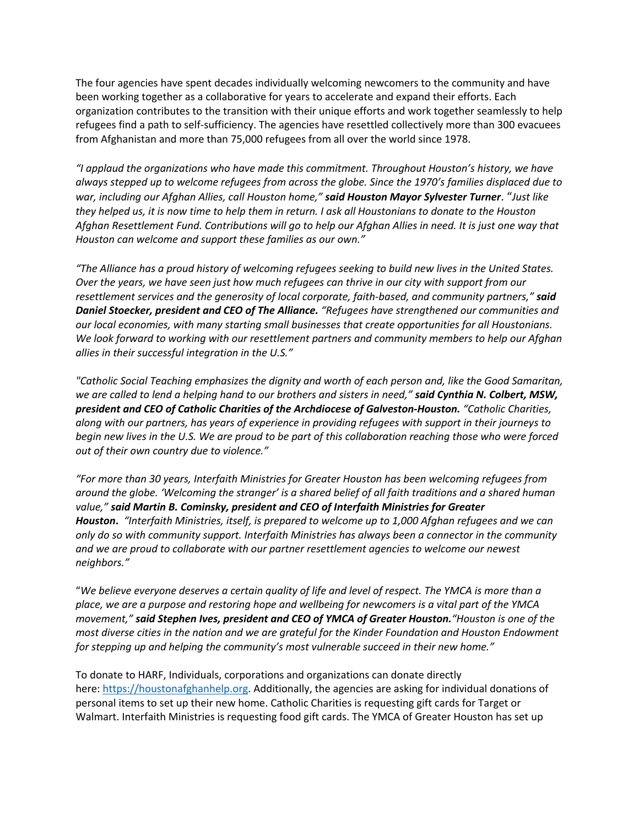The four agencies have spent decades individually welcoming newcomers to the community and have been working together as a collaborative for years to accelerate and expand their efforts. Each organization contributes to the transition with their unique efforts and work together seamlessly to help refugees find a path to self-sufficiency. The agencies have resettled collectively more than 300 evacuees from Afghanistan and more than 75,000 refugees from all over the world since 1978.

*"I applaud the organizations who have made this commitment. Throughout Houston's history, we have always stepped up to welcome refugees from across the globe. Since the 1970's families displaced due to war, including our Afghan Allies, call Houston home," said Houston Mayor Sylvester Turner*. "*Just like they helped us, it is now time to help them in return. I ask all Houstonians to donate to the Houston Afghan Resettlement Fund. Contributions will go to help our Afghan Allies in need. It is just one way that Houston can welcome and support these families as our own."*

*"The Alliance has a proud history of welcoming refugees seeking to build new lives in the United States. Over the years, we have seen just how much refugees can thrive in our city with support from our resettlement services and the generosity of local corporate, faith-based, and community partners," said Daniel Stoecker, president and CEO of The Alliance. "Refugees have strengthened our communities and our local economies, with many starting small businesses that create opportunities for all Houstonians. We look forward to working with our resettlement partners and community members to help our Afghan allies in their successful integration in the U.S."*

*"Catholic Social Teaching emphasizes the dignity and worth of each person and, like the Good Samaritan, we are called to lend a helping hand to our brothers and sisters in need," said Cynthia N. Colbert, MSW, president and CEO of Catholic Charities of the Archdiocese of Galveston-Houston. "Catholic Charities, along with our partners, has years of experience in providing refugees with support in their journeys to begin new lives in the U.S. We are proud to be part of this collaboration reaching those who were forced out of their own country due to violence."* 

*"For more than 30 years, Interfaith Ministries for Greater Houston has been welcoming refugees from around the globe. 'Welcoming the stranger' is a shared belief of all faith traditions and a shared human value," said Martin B. Cominsky, president and CEO of Interfaith Ministries for Greater Houston***.** *"Interfaith Ministries, itself, is prepared to welcome up to 1,000 Afghan refugees and we can only do so with community support. Interfaith Ministries has always been a connector in the community and we are proud to collaborate with our partner resettlement agencies to welcome our newest neighbors."*

"*We believe everyone deserves a certain quality of life and level of respect. The YMCA is more than a place, we are a purpose and restoring hope and wellbeing for newcomers is a vital part of the YMCA movement," said Stephen Ives, president and CEO of YMCA of Greater Houston."Houston is one of the most diverse cities in the nation and we are grateful for the Kinder Foundation and Houston Endowment for stepping up and helping the community's most vulnerable succeed in their new home."*

To donate to HARF, Individuals, corporations and organizations can donate directly here: https://houstonafghanhelp.org. Additionally, the agencies are asking for individual donations of personal items to set up their new home. Catholic Charities is requesting gift cards for Target or Walmart. Interfaith Ministries is requesting food gift cards. The YMCA of Greater Houston has set up